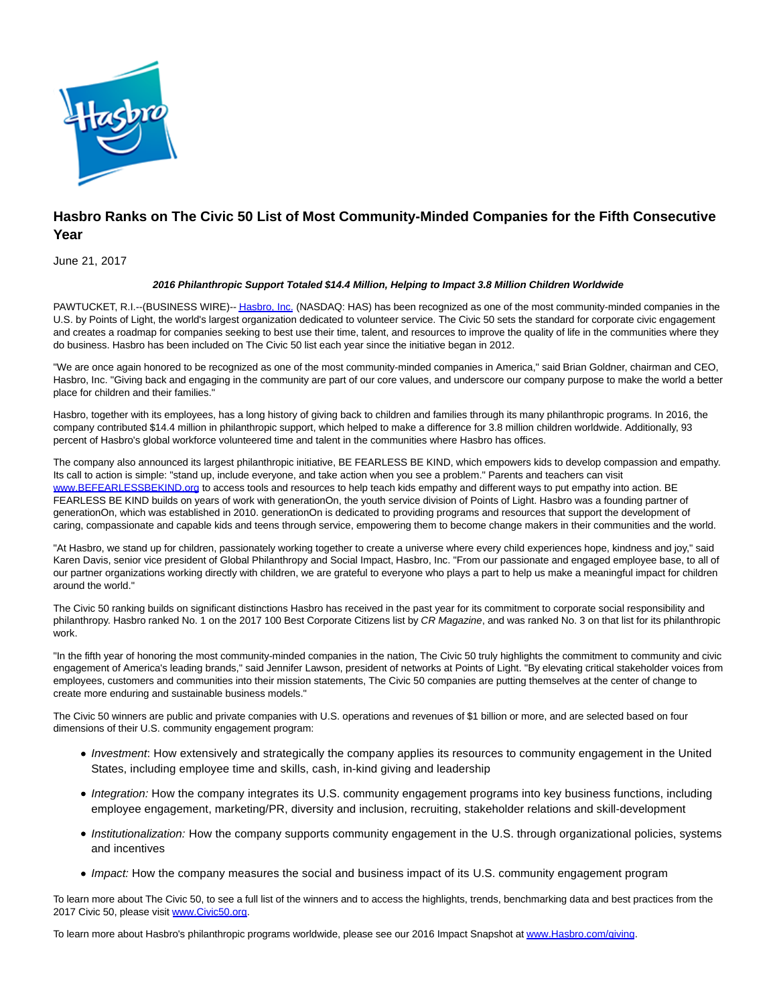

## **Hasbro Ranks on The Civic 50 List of Most Community-Minded Companies for the Fifth Consecutive Year**

June 21, 2017

## **2016 Philanthropic Support Totaled \$14.4 Million, Helping to Impact 3.8 Million Children Worldwide**

PAWTUCKET, R.I.--(BUSINESS WIRE)-[- Hasbro, Inc. \(](http://cts.businesswire.com/ct/CT?id=smartlink&url=http%3A%2F%2Fwww.hasbro.com%2F&esheet=51578477&newsitemid=20170621006058&lan=en-US&anchor=Hasbro%2C+Inc.&index=1&md5=183eae70f13a2aec682c97200e173adc)NASDAQ: HAS) has been recognized as one of the most community-minded companies in the U.S. by Points of Light, the world's largest organization dedicated to volunteer service. The Civic 50 sets the standard for corporate civic engagement and creates a roadmap for companies seeking to best use their time, talent, and resources to improve the quality of life in the communities where they do business. Hasbro has been included on The Civic 50 list each year since the initiative began in 2012.

"We are once again honored to be recognized as one of the most community-minded companies in America," said Brian Goldner, chairman and CEO, Hasbro, Inc. "Giving back and engaging in the community are part of our core values, and underscore our company purpose to make the world a better place for children and their families."

Hasbro, together with its employees, has a long history of giving back to children and families through its many philanthropic programs. In 2016, the company contributed \$14.4 million in philanthropic support, which helped to make a difference for 3.8 million children worldwide. Additionally, 93 percent of Hasbro's global workforce volunteered time and talent in the communities where Hasbro has offices.

The company also announced its largest philanthropic initiative, BE FEARLESS BE KIND, which empowers kids to develop compassion and empathy. Its call to action is simple: "stand up, include everyone, and take action when you see a problem." Parents and teachers can visit [www.BEFEARLESSBEKIND.org t](http://cts.businesswire.com/ct/CT?id=smartlink&url=http%3A%2F%2Fwww.BEFEARLESSBEKIND.org&esheet=51578477&newsitemid=20170621006058&lan=en-US&anchor=www.BEFEARLESSBEKIND.org&index=2&md5=ef0fc45321da1c02190e38fc25426af6)o access tools and resources to help teach kids empathy and different ways to put empathy into action. BE FEARLESS BE KIND builds on years of work with generationOn, the youth service division of Points of Light. Hasbro was a founding partner of generationOn, which was established in 2010. generationOn is dedicated to providing programs and resources that support the development of caring, compassionate and capable kids and teens through service, empowering them to become change makers in their communities and the world.

"At Hasbro, we stand up for children, passionately working together to create a universe where every child experiences hope, kindness and joy," said Karen Davis, senior vice president of Global Philanthropy and Social Impact, Hasbro, Inc. "From our passionate and engaged employee base, to all of our partner organizations working directly with children, we are grateful to everyone who plays a part to help us make a meaningful impact for children around the world."

The Civic 50 ranking builds on significant distinctions Hasbro has received in the past year for its commitment to corporate social responsibility and philanthropy. Hasbro ranked No. 1 on the 2017 100 Best Corporate Citizens list by CR Magazine, and was ranked No. 3 on that list for its philanthropic work.

"In the fifth year of honoring the most community-minded companies in the nation, The Civic 50 truly highlights the commitment to community and civic engagement of America's leading brands," said Jennifer Lawson, president of networks at Points of Light. "By elevating critical stakeholder voices from employees, customers and communities into their mission statements, The Civic 50 companies are putting themselves at the center of change to create more enduring and sustainable business models."

The Civic 50 winners are public and private companies with U.S. operations and revenues of \$1 billion or more, and are selected based on four dimensions of their U.S. community engagement program:

- Investment: How extensively and strategically the company applies its resources to community engagement in the United States, including employee time and skills, cash, in-kind giving and leadership
- Integration: How the company integrates its U.S. community engagement programs into key business functions, including employee engagement, marketing/PR, diversity and inclusion, recruiting, stakeholder relations and skill-development
- Institutionalization: How the company supports community engagement in the U.S. through organizational policies, systems and incentives
- Impact: How the company measures the social and business impact of its U.S. community engagement program

To learn more about The Civic 50, to see a full list of the winners and to access the highlights, trends, benchmarking data and best practices from the 2017 Civic 50, please visit [www.Civic50.org.](http://cts.businesswire.com/ct/CT?id=smartlink&url=http%3A%2F%2Fwww.Civic50.org&esheet=51578477&newsitemid=20170621006058&lan=en-US&anchor=www.Civic50.org&index=3&md5=c3f5ca0f548f15f980e6d0648ba63992)

To learn more about Hasbro's philanthropic programs worldwide, please see our 2016 Impact Snapshot a[t www.Hasbro.com/giving.](http://cts.businesswire.com/ct/CT?id=smartlink&url=http%3A%2F%2Fwww.hasbro.com%2Fcorporate%2Fen_US%2Fcommunity-relations%2F&esheet=51578477&newsitemid=20170621006058&lan=en-US&anchor=www.Hasbro.com%2Fgiving&index=4&md5=868d16eefeb3fb888673541479dd2d0c)